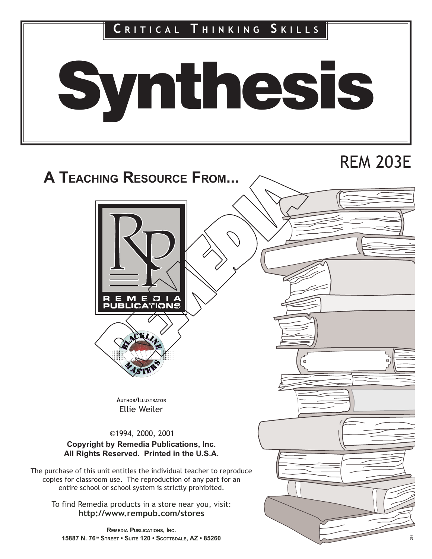

# REM 203E

# A TEACHING RESOURCE FROM...





AUTHOR/ILLUSTRATOR Ellie Weiler

#### Copyright by Remedia Publications, Inc. All Rights Reserved. Printed in the U.S.A. ©1994, 2000, 2001

The purchase of this unit entitles the individual teacher to reproduce copies for classroom use. The reproduction of any part for an entire school or school system is strictly prohibited.

To find Remedia products in a store near you, visit: http://www.rempub.com/stores

REMEDIA PUBLICATIONS, INC. 15887 N. 76TH STREET • SUITE 120 • SCOTTSDALE, AZ • 85260

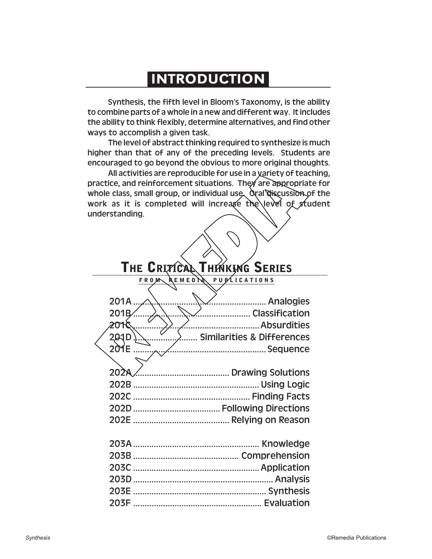## INTRODUCTION

Synthesis, the fifth level in Bloom's Taxonomy, is the ability to combine parts of a whole in a new and different way. It includes the ability to think flexibly, determine alternatives, and find other ways to accomplish a given task.

The level of abstract thinking required to synthesize is much higher than that of any of the preceding levels. Students are encouraged to go beyond the obvious to more original thoughts.

All activities are reproducible for use in a variety of teaching, practice, and reinforcement situations. They are appropriate for whole class, small group, or individual use. Oral discussion of the work as it is completed will increase the level of student understanding.

## **THE CRITICAL THINKING SERIES**

#### **FROM REMEDIA PUBLICATIONS**

| 201D  Similarities & Differences |
|----------------------------------|
|                                  |
|                                  |
|                                  |
|                                  |
|                                  |
|                                  |
|                                  |
|                                  |
|                                  |
|                                  |
|                                  |
|                                  |
|                                  |
|                                  |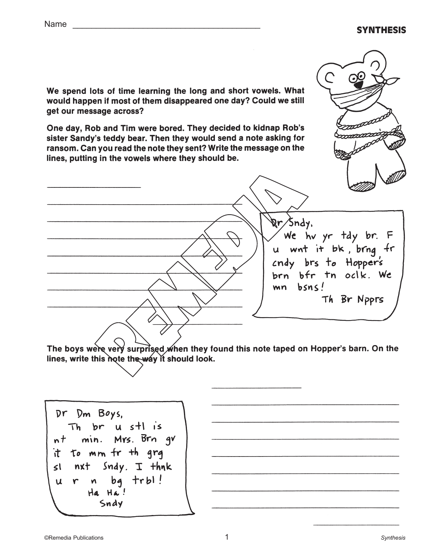### Name \_\_\_\_\_\_\_\_\_\_\_\_\_\_\_\_\_\_\_\_\_\_\_\_\_\_\_\_\_\_\_\_\_\_\_\_\_\_\_\_ **SYNTHESIS**

We spend lots of time learning the long and short vowels. What would happen if most of them disappeared one day? Could we still get our message across?

One day, Rob and Tim were bored. They decided to kidnap Rob's sister Sandy's teddy bear. Then they would send a note asking for ransom. Can you read the note they sent? Write the message on the lines, putting in the vowels where they should be.

| <b>SILLER</b>                                                                                                                    |
|----------------------------------------------------------------------------------------------------------------------------------|
| Dr Sndy,<br>We hv yr tdy br. F<br>u wnt it bk, brng fr<br>cndy brs to Hopper's<br>brn bfr tn oclk. We<br>mn bsns!<br>Th Br Npprs |
|                                                                                                                                  |

The boys were very surprised when they found this note taped on Hopper's barn. On the lines, write this note the way it should look.

Dr Dm Boys, Th br u stl is nt min. Mrs. Brn gv it to mm fr th grg Sndy.  $I$  thnk  $51$ nxt n bg trbl! U  $\mathbf{r}$ Ha Ha! Sndy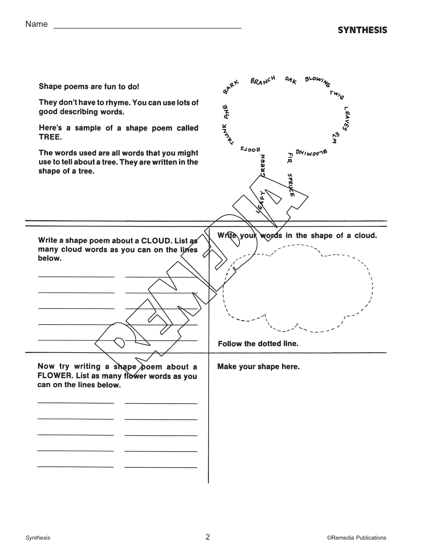Shape poems are fun to do!

They don't have to rhyme. You can use lots of good describing words.

Here's a sample of a shape poem called TREE.

The words used are all words that you might use to tell about a tree. They are written in the shape of a tree.



| Write a shape poem about a CLOUD. List as<br>many cloud words as you can on the lines<br>below.             | Write your words in the shape of a cloud.<br>Follow the dotted line. |
|-------------------------------------------------------------------------------------------------------------|----------------------------------------------------------------------|
| Now try writing a shape poem about a<br>FLOWER. List as many flower words as you<br>can on the lines below. | Make your shape here.                                                |

 $\mathbf{I}$  $M$ an<br>Andrea  $\overline{1}$  $\mathbf{r}$  $\overline{a}$  $\overline{a}$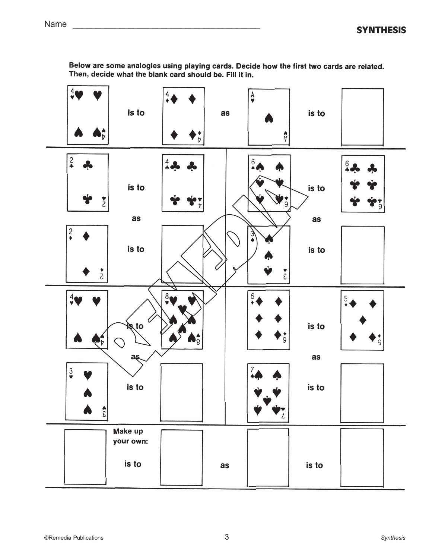| 4                                                 | is to                  | 4<br>^ | as | $\overset{\text{A}}{\bullet}$<br>$\boldsymbol{\hat{y}}$ | is to       |        |
|---------------------------------------------------|------------------------|--------|----|---------------------------------------------------------|-------------|--------|
| $\frac{2}{4}$<br>÷<br>$\zeta$                     | is to<br>as            |        |    | $6\bullet$                                              | is to<br>as |        |
| $\frac{2}{4}$<br>$\overline{z}$                   | is to                  |        |    | $\frac{3}{4}$<br>$\sum_{i=1}^{n}$                       | is to       |        |
|                                                   |                        |        |    |                                                         |             |        |
| $\frac{4}{9}$                                     | is to                  | 8      |    | $\boldsymbol{6}$<br>9                                   | is to       | 5<br>S |
| $\frac{3}{2}$<br>$\boldsymbol{\hat{\varepsilon}}$ | as<br>is to<br>Make up |        |    |                                                         | as<br>is to |        |

Below are some analogies using playing cards. Decide how the first two cards are related. Then, decide what the blank card should be. Fill it in.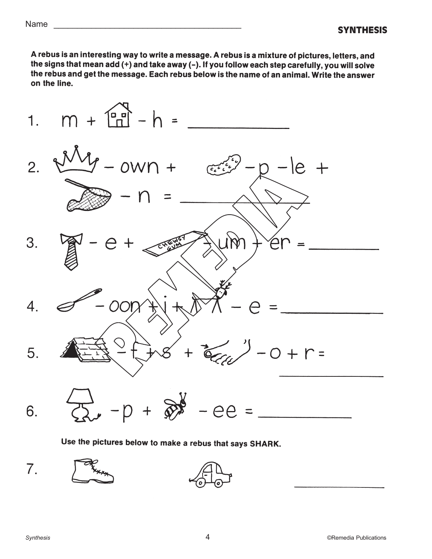A rebus is an interesting way to write a message. A rebus is a mixture of pictures, letters, and the signs that mean add (+) and take away (-). If you follow each step carefully, you will solve the rebus and get the message. Each rebus below is the name of an animal. Write the answer on the line.



Use the pictures below to make a rebus that says SHARK.



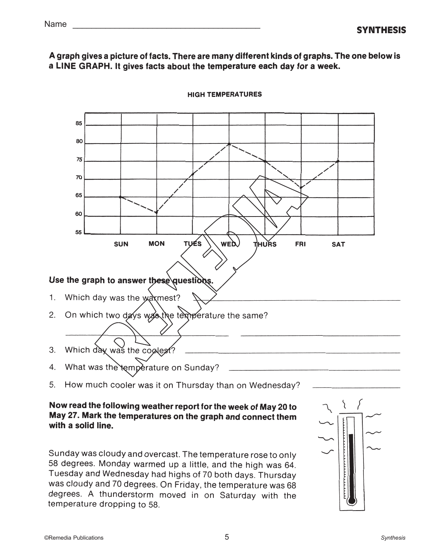#### A graph gives a picture of facts. There are many different kinds of graphs. The one below is a LINE GRAPH. It gives facts about the temperature each day for a week.



**HIGH TEMPERATURES** 

#### Use the graph to answer these questions.

- 1. Which day was the warmest?  $2.$ On which two days was the temperature the same? 3. Which day was the coolest?
- What was the temperature on Sunday?  $4<sup>1</sup>$
- 5. How much cooler was it on Thursday than on Wednesday?

#### Now read the following weather report for the week of May 20 to May 27. Mark the temperatures on the graph and connect them with a solid line

Sunday was cloudy and overcast. The temperature rose to only 58 degrees. Monday warmed up a little, and the high was 64. Tuesday and Wednesday had highs of 70 both days. Thursday was cloudy and 70 degrees. On Friday, the temperature was 68 degrees. A thunderstorm moved in on Saturday with the temperature dropping to 58.